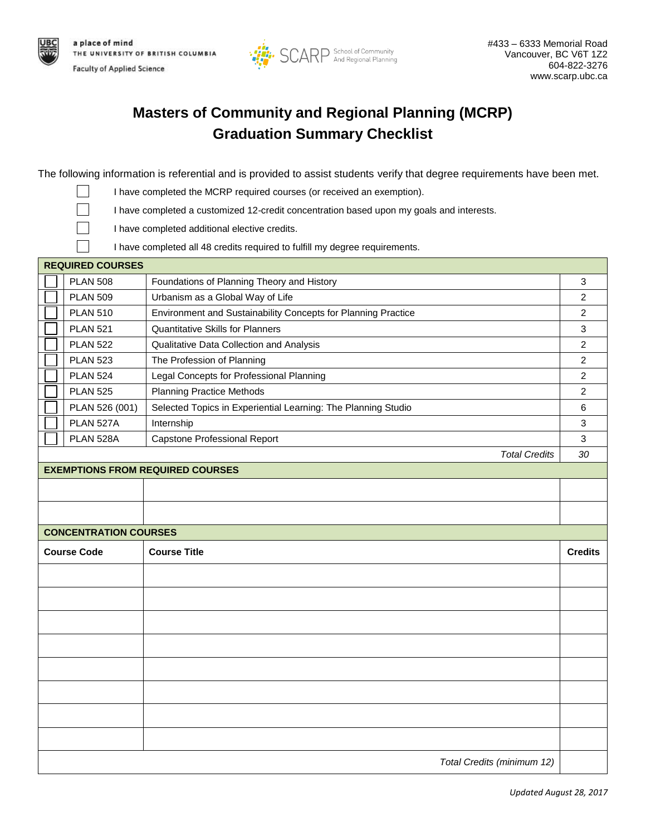



## **Masters of Community and Regional Planning (MCRP) Graduation Summary Checklist**

The following information is referential and is provided to assist students verify that degree requirements have been met.

- I have completed the MCRP required courses (or received an exemption). I have completed a customized 12-credit concentration based upon my goals and interests. I have completed additional elective credits. I have completed all 48 credits required to fulfill my degree requirements. **REQUIRED COURSES** PLAN 508 Foundations of Planning Theory and History **Foundations** 3 PLAN 509 Urbanism as a Global Way of Life 2 PLAN 510 Environment and Sustainability Concepts for Planning Practice 2 PLAN 521 Quantitative Skills for Planners 3 PLAN 522 Qualitative Data Collection and Analysis 2 PLAN 523 The Profession of Planning 2 PLAN 524 Legal Concepts for Professional Planning 2 Legal 2 2 PLAN 525 Planning Practice Methods 2 PLAN 526 (001) Selected Topics in Experiential Learning: The Planning Studio 6 PLAN 527A Internship 3 and 3 and 3 and 3 and 3 and 3 and 3 and 3 and 3 and 3 and 3 and 3 and 3 and 3 and 3 and 3 and 3 and 3 and 3 and 3 and 3 and 3 and 3 and 3 and 3 and 3 and 3 and 3 and 3 and 3 and 3 and 3 and 3 and 3 a
- PLAN 528A Capstone Professional Report 3 3 *Total Credits 30* **EXEMPTIONS FROM REQUIRED COURSES CONCENTRATION COURSES Course Code Course Title Credits** *Total Credits (minimum 12)*